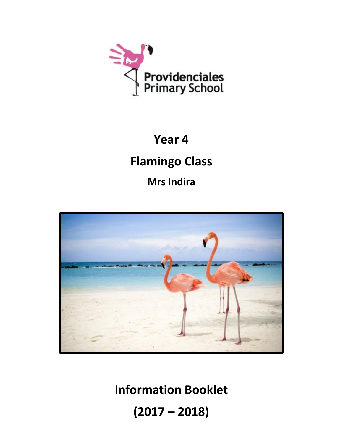

# **Year 4**

## **Flamingo Class**

**Mrs Indira**



**Information Booklet (2017 – 2018)**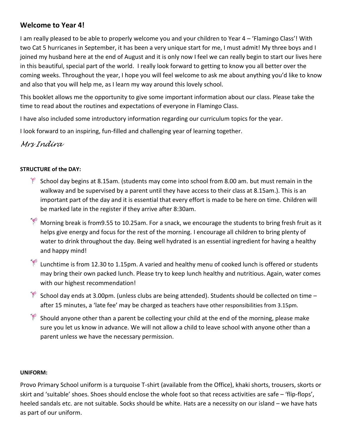#### **Welcome to Year 4!**

I am really pleased to be able to properly welcome you and your children to Year 4 – 'Flamingo Class'! With two Cat 5 hurricanes in September, it has been a very unique start for me, I must admit! My three boys and I joined my husband here at the end of August and it is only now I feel we can really begin to start our lives here in this beautiful, special part of the world. I really look forward to getting to know you all better over the coming weeks. Throughout the year, I hope you will feel welcome to ask me about anything you'd like to know and also that you will help me, as I learn my way around this lovely school.

This booklet allows me the opportunity to give some important information about our class. Please take the time to read about the routines and expectations of everyone in Flamingo Class.

I have also included some introductory information regarding our curriculum topics for the year.

I look forward to an inspiring, fun-filled and challenging year of learning together.

#### *Mrs Indira*

#### **STRUCTURE of the DAY:**

- $\mathbb{F}$  School day begins at 8.15am. (students may come into school from 8.00 am. but must remain in the walkway and be supervised by a parent until they have access to their class at 8.15am.). This is an important part of the day and it is essential that every effort is made to be here on time. Children will be marked late in the register if they arrive after 8:30am.
- Morning break is from9.55 to 10.25am. For a snack, we encourage the students to bring fresh fruit as it helps give energy and focus for the rest of the morning. I encourage all children to bring plenty of water to drink throughout the day. Being well hydrated is an essential ingredient for having a healthy and happy mind!
- Lunchtime is from 12.30 to 1.15pm. A varied and healthy menu of cooked lunch is offered or students may bring their own packed lunch. Please try to keep lunch healthy and nutritious. Again, water comes with our highest recommendation!
- School day ends at 3.00pm. (unless clubs are being attended). Students should be collected on time  $$ after 15 minutes, a 'late fee' may be charged as teachers have other responsibilities from 3.15pm.
- P Should anyone other than a parent be collecting your child at the end of the morning, please make sure you let us know in advance. We will not allow a child to leave school with anyone other than a parent unless we have the necessary permission.

#### **UNIFORM:**

Provo Primary School uniform is a turquoise T-shirt (available from the Office), khaki shorts, trousers, skorts or skirt and 'suitable' shoes. Shoes should enclose the whole foot so that recess activities are safe – 'flip-flops', heeled sandals etc. are not suitable. Socks should be white. Hats are a necessity on our island – we have hats as part of our uniform.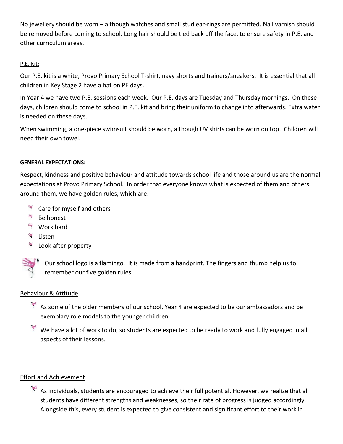No jewellery should be worn – although watches and small stud ear-rings are permitted. Nail varnish should be removed before coming to school. Long hair should be tied back off the face, to ensure safety in P.E. and other curriculum areas.

#### P.E. Kit:

Our P.E. kit is a white, Provo Primary School T-shirt, navy shorts and trainers/sneakers. It is essential that all children in Key Stage 2 have a hat on PE days.

In Year 4 we have two P.E. sessions each week. Our P.E. days are Tuesday and Thursday mornings. On these days, children should come to school in P.E. kit and bring their uniform to change into afterwards. Extra water is needed on these days.

When swimming, a one-piece swimsuit should be worn, although UV shirts can be worn on top. Children will need their own towel.

#### **GENERAL EXPECTATIONS:**

Respect, kindness and positive behaviour and attitude towards school life and those around us are the normal expectations at Provo Primary School. In order that everyone knows what is expected of them and others around them, we have golden rules, which are:

- $\mathbb{R}$  Care for myself and others
- $\frac{1}{2}$ Be honest
- **Work hard**
- Listen
- Look after property



Our school logo is a flamingo. It is made from a handprint. The fingers and thumb help us to remember our five golden rules.

#### Behaviour & Attitude

As some of the older members of our school, Year 4 are expected to be our ambassadors and be exemplary role models to the younger children.

 $\mathbb{R}^2$  We have a lot of work to do, so students are expected to be ready to work and fully engaged in all aspects of their lessons.

#### Effort and Achievement

As individuals, students are encouraged to achieve their full potential. However, we realize that all students have different strengths and weaknesses, so their rate of progress is judged accordingly. Alongside this, every student is expected to give consistent and significant effort to their work in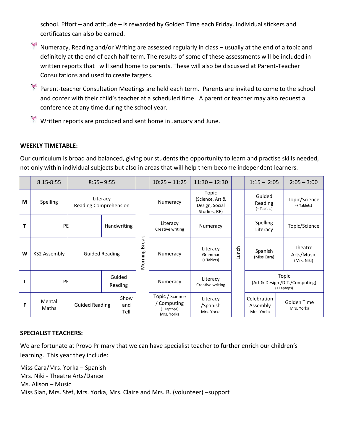school. Effort – and attitude – is rewarded by Golden Time each Friday. Individual stickers and certificates can also be earned.



Numeracy, Reading and/or Writing are assessed regularly in class – usually at the end of a topic and definitely at the end of each half term. The results of some of these assessments will be included in written reports that I will send home to parents. These will also be discussed at Parent-Teacher Consultations and used to create targets.

Parent-teacher Consultation Meetings are held each term. Parents are invited to come to the school and confer with their child's teacher at a scheduled time. A parent or teacher may also request a conference at any time during the school year.

Written reports are produced and sent home in January and June.

#### **WEEKLY TIMETABLE:**

Our curriculum is broad and balanced, giving our students the opportunity to learn and practise skills needed, not only within individual subjects but also in areas that will help them become independent learners.

|   | 8.15-8:55           |                                   | $8:55 - 9:55$     |                     |                         | $10:25 - 11:25$                                           | $11:30 - 12:30$                                            |       | $1:15 - 2:05$                                                  | $2:05 - 3:00$               |
|---|---------------------|-----------------------------------|-------------------|---------------------|-------------------------|-----------------------------------------------------------|------------------------------------------------------------|-------|----------------------------------------------------------------|-----------------------------|
| M | <b>Spelling</b>     | Literacy<br>Reading Comprehension |                   |                     | <b>Break</b><br>Morning | Numeracy                                                  | Topic<br>(Science, Art &<br>Design, Social<br>Studies, RE) | Lunch | Guided<br>Reading<br>(+ Tablets)                               | Topic/Science<br>(+Tablets) |
|   | PE                  | Handwriting                       |                   |                     |                         | Literacy<br>Creative writing                              | Numeracy                                                   |       | Spelling<br>Literacy                                           | Topic/Science               |
| W | <b>KS2 Assembly</b> | <b>Guided Reading</b>             |                   |                     |                         | Numeracy                                                  | Literacy<br>Grammar<br>(+ Tablets)                         |       | Theatre<br>Spanish<br>Arts/Music<br>(Miss Cara)<br>(Mrs. Niki) |                             |
|   | PE                  |                                   | Guided<br>Reading |                     |                         | Numeracy                                                  | Literacy<br>Creative writing                               |       | Topic<br>(Art & Design /D.T./Computing)<br>(+ Laptops)         |                             |
| F | Mental<br>Maths     | <b>Guided Reading</b>             |                   | Show<br>and<br>Tell |                         | Topic / Science<br>Computing<br>(+ Laptops)<br>Mrs. Yorka | Literacy<br>/Spanish<br>Mrs. Yorka                         |       | Celebration<br>Assembly<br>Mrs. Yorka                          | Golden Time<br>Mrs. Yorka   |

#### **SPECIALIST TEACHERS:**

We are fortunate at Provo Primary that we can have specialist teacher to further enrich our children's learning. This year they include:

Miss Cara/Mrs. Yorka – Spanish Mrs. Niki - Theatre Arts/Dance Ms. Alison – Music Miss Sian, Mrs. Stef, Mrs. Yorka, Mrs. Claire and Mrs. B. (volunteer) –support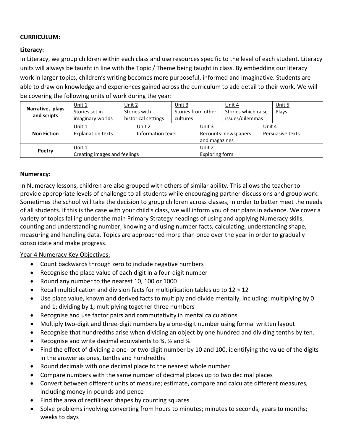#### **CURRICULUM:**

#### **Literacy:**

In Literacy, we group children within each class and use resources specific to the level of each student. Literacy units will always be taught in line with the Topic / Theme being taught in class. By embedding our literacy work in larger topics, children's writing becomes more purposeful, informed and imaginative. Students are able to draw on knowledge and experiences gained across the curriculum to add detail to their work. We will be covering the following units of work during the year:

| Narrative, plays<br>and scripts                            | Unit $1$<br>Stories set in<br>imaginary worlds | Unit 2<br>Stories with<br>historical settings |                             | Unit $3$<br>Stories from other<br>cultures |                                                   | Unit 4<br>Stories which raise<br>issues/dilemmas |                            | Unit 5<br>Plays |
|------------------------------------------------------------|------------------------------------------------|-----------------------------------------------|-----------------------------|--------------------------------------------|---------------------------------------------------|--------------------------------------------------|----------------------------|-----------------|
| Unit $1$<br><b>Explanation texts</b><br><b>Non Fiction</b> |                                                |                                               | Unit 2<br>Information texts |                                            | Unit $3$<br>Recounts: newspapers<br>and magazines |                                                  | Unit 4<br>Persuasive texts |                 |
| Poetry                                                     | Unit $1$<br>Creating images and feelings       |                                               | Unit 2<br>Exploring form    |                                            |                                                   |                                                  |                            |                 |

#### **Numeracy:**

In Numeracy lessons, children are also grouped with others of similar ability. This allows the teacher to provide appropriate levels of challenge to all students while encouraging partner discussions and group work. Sometimes the school will take the decision to group children across classes, in order to better meet the needs of all students. If this is the case with your child's class, we will inform you of our plans in advance. We cover a variety of topics falling under the main Primary Strategy headings of using and applying Numeracy skills, counting and understanding number, knowing and using number facts, calculating, understanding shape, measuring and handling data. Topics are approached more than once over the year in order to gradually consolidate and make progress.

#### Year 4 Numeracy Key Objectives:

- Count backwards through zero to include negative numbers
- Recognise the place value of each digit in a four-digit number
- Round any number to the nearest 10, 100 or 1000
- Recall multiplication and division facts for multiplication tables up to  $12 \times 12$
- Use place value, known and derived facts to multiply and divide mentally, including: multiplying by 0 and 1; dividing by 1; multiplying together three numbers
- Recognise and use factor pairs and commutativity in mental calculations
- Multiply two-digit and three-digit numbers by a one-digit number using formal written layout
- Recognise that hundredths arise when dividing an object by one hundred and dividing tenths by ten.
- Recognise and write decimal equivalents to ¼, ½ and ¾
- Find the effect of dividing a one- or two-digit number by 10 and 100, identifying the value of the digits in the answer as ones, tenths and hundredths
- Round decimals with one decimal place to the nearest whole number
- Compare numbers with the same number of decimal places up to two decimal places
- Convert between different units of measure; estimate, compare and calculate different measures, including money in pounds and pence
- Find the area of rectilinear shapes by counting squares
- Solve problems involving converting from hours to minutes; minutes to seconds; years to months; weeks to days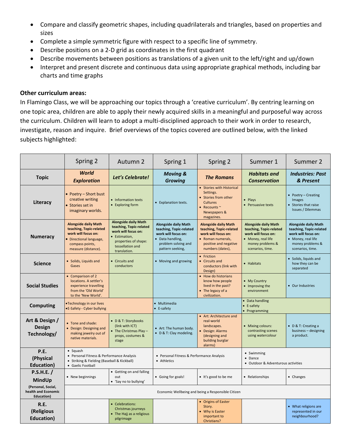- Compare and classify geometric shapes, including quadrilaterals and triangles, based on properties and sizes
- Complete a simple symmetric figure with respect to a specific line of symmetry.
- Describe positions on a 2-D grid as coordinates in the first quadrant
- Describe movements between positions as translations of a given unit to the left/right and up/down
- Interpret and present discrete and continuous data using appropriate graphical methods, including bar charts and time graphs

#### **Other curriculum areas:**

In Flamingo Class, we will be approaching our topics through a 'creative curriculum'. By centring learning on one topic area, children are able to apply their newly acquired skills in a meaningful and purposeful way across the curriculum. Children will learn to adopt a multi-disciplined approach to their work in order to research, investigate, reason and inquire. Brief overviews of the topics covered are outlined below, with the linked subjects highlighted:

|                                                                 | Spring 2                                                                                                                                           | Autumn 2                                                                                                                                                   | Spring 1                                                                                                                                     | Spring 2                                                                                                                                        | Summer 1                                                                                                                                    | Summer 2                                                                                                                                    |  |
|-----------------------------------------------------------------|----------------------------------------------------------------------------------------------------------------------------------------------------|------------------------------------------------------------------------------------------------------------------------------------------------------------|----------------------------------------------------------------------------------------------------------------------------------------------|-------------------------------------------------------------------------------------------------------------------------------------------------|---------------------------------------------------------------------------------------------------------------------------------------------|---------------------------------------------------------------------------------------------------------------------------------------------|--|
| <b>Topic</b>                                                    | World<br><b>Exploration</b>                                                                                                                        | Let's Celebrate!                                                                                                                                           | <b>Moving &amp;</b><br><b>Growing</b>                                                                                                        | <b>The Romans</b>                                                                                                                               | <b>Habitats</b> and<br><b>Conservation</b>                                                                                                  | <b>Industries: Past</b><br>& Present                                                                                                        |  |
| Literacy                                                        | • Poetry - Short bust<br>creative writing<br>Stories set in<br>imaginary worlds.                                                                   | • Information texts<br>• Exploring form                                                                                                                    | • Explanation texts.                                                                                                                         | • Stories with Historical<br>Settings.<br>Stories from other<br><b>Cultures</b><br>• Recounts $\sim$<br>Newspapers &<br>magazines.              | • Plays<br>• Persuasive texts                                                                                                               | • Poetry - Creating<br>Images<br>• Stories that raise<br><b>Issues / Dilemmas</b>                                                           |  |
| <b>Numeracy</b>                                                 | <b>Alongside daily Math</b><br>teaching, Topic-related<br>work will focus on:<br>· Directional language,<br>compass points,<br>measure (distance). | <b>Alongside daily Math</b><br>teaching, Topic-related<br>work will focus on:<br>· Estimation,<br>properties of shape:<br>tessellation and<br>translation. | <b>Alongside daily Math</b><br>teaching, Topic-related<br>work will focus on:<br>• Data handling,<br>problem solving and<br>pattern seeking, | <b>Alongside daily Math</b><br>teaching, Topic-related<br>work will focus on:<br>• Roman numerals,<br>positive and negative<br>numbers (dates), | <b>Alongside daily Math</b><br>teaching, Topic-related<br>work will focus on:<br>• Money, real life<br>money problems &<br>scenarios, time. | <b>Alongside daily Math</b><br>teaching, Topic-related<br>work will focus on:<br>• Money, real life<br>money problems &<br>scenarios, time. |  |
| <b>Science</b>                                                  | • Solids, Liquids and<br>Gases                                                                                                                     | • Circuits and<br>conductors                                                                                                                               | • Moving and growing                                                                                                                         | • Friction<br>• Circuits and<br>conductors (link with<br>Design)                                                                                | • Habitats                                                                                                                                  | · Solids, liquids and<br>how they can be<br>separated                                                                                       |  |
| <b>Social Studies</b>                                           | • Comparison of 2<br>locations. A settler's<br>experience travelling<br>from the 'Old World'<br>to the 'New World'.                                |                                                                                                                                                            |                                                                                                                                              | • How do historians<br>know how people<br>lived in the past?<br>• The legacy of a<br>civilization.                                              | • My Country<br>• Improving the<br>environment                                                                                              | • Our Industries                                                                                                                            |  |
| <b>Computing</b>                                                | •Technology in our lives<br>•E-Safety - Cyber bullying                                                                                             |                                                                                                                                                            |                                                                                                                                              |                                                                                                                                                 | • Data handling<br>• E-safety<br>• Programming                                                                                              |                                                                                                                                             |  |
| Art & Design /<br><b>Design</b><br>Technology/                  | • Tone and shade:<br>• Design: Designing and<br>making jewelry out of<br>native materials.                                                         | • D & T: Storybooks<br>(link with ICT)<br>• The Christmas Play -<br>props, costumes &<br>stage                                                             | • Art: The human body.<br>• D & T: Clay modeling.                                                                                            | • Art: Architecture and<br>real-world<br>landscapes.<br>• Design: Alarms<br>(designing and<br>building burglar<br>alarms)                       | • Mixing colours:<br>contrasting scenes<br>using watercolour                                                                                | • D & T: Creating a<br>business - designing<br>a product.                                                                                   |  |
| P.E.<br>(Physical<br><b>Education</b> )                         | $\bullet$ Squash<br>• Personal Fitness & Performance Analysis<br>• Striking & Fielding (Baseball & Kickball)<br>• Gaelic Football                  |                                                                                                                                                            | • Personal Fitness & Performance Analysis<br>• Athletics                                                                                     |                                                                                                                                                 | • Swimming<br>• Dance<br>• Outdoor & Adventurous activities                                                                                 |                                                                                                                                             |  |
| P.S.H.E.<br>MindUp                                              | • New beginnings                                                                                                                                   | • Getting on and falling<br>out<br>• 'Say no to bullying'                                                                                                  | • Going for goals!                                                                                                                           | • It's good to be me                                                                                                                            | • Relationships                                                                                                                             | • Changes                                                                                                                                   |  |
| (Personal, Social,<br>health and Economic<br><b>Education</b> ) |                                                                                                                                                    |                                                                                                                                                            | Economic Wellbeing and being a Responsible Citizen                                                                                           |                                                                                                                                                 |                                                                                                                                             |                                                                                                                                             |  |
| R.E.<br>(Religious<br><b>Education</b> )                        |                                                                                                                                                    | • Celebrations:<br>Christmas journeys<br>• The Hajj as a religious<br>pilgrimage                                                                           |                                                                                                                                              | • Origins of Easter<br>Story.<br>• Why is Easter<br>important to<br>Christians?                                                                 |                                                                                                                                             | • What religions are<br>represented in our<br>neighbourhood?                                                                                |  |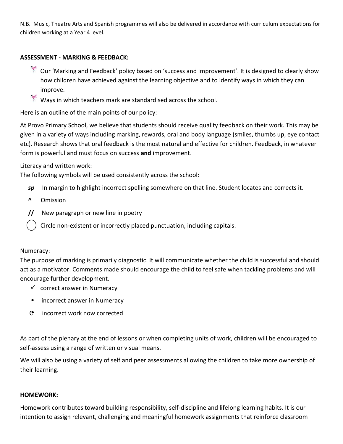N.B. Music, Theatre Arts and Spanish programmes will also be delivered in accordance with curriculum expectations for children working at a Year 4 level.

#### **ASSESSMENT - MARKING & FEEDBACK:**

- $\hat{P}$  Our 'Marking and Feedback' policy based on 'success and improvement'. It is designed to clearly show how children have achieved against the learning objective and to identify ways in which they can improve.
- Ways in which teachers mark are standardised across the school.

Here is an outline of the main points of our policy:

At Provo Primary School, we believe that students should receive quality feedback on their work. This may be given in a variety of ways including marking, rewards, oral and body language (smiles, thumbs up, eye contact etc). Research shows that oral feedback is the most natural and effective for children. Feedback, in whatever form is powerful and must focus on success **and** improvement.

#### Literacy and written work:

The following symbols will be used consistently across the school:

- *sp* In margin to highlight incorrect spelling somewhere on that line. Student locates and corrects it.
- **^** Omission
- **//** New paragraph or new line in poetry
	- Circle non-existent or incorrectly placed punctuation, including capitals.

#### Numeracy:

The purpose of marking is primarily diagnostic. It will communicate whether the child is successful and should act as a motivator. Comments made should encourage the child to feel safe when tackling problems and will encourage further development.

- $\checkmark$  correct answer in Numeracy
- incorrect answer in Numeracy
- C incorrect work now corrected

As part of the plenary at the end of lessons or when completing units of work, children will be encouraged to self-assess using a range of written or visual means.

We will also be using a variety of self and peer assessments allowing the children to take more ownership of their learning.

#### **HOMEWORK:**

Homework contributes toward building responsibility, self-discipline and lifelong learning habits. It is our intention to assign relevant, challenging and meaningful homework assignments that reinforce classroom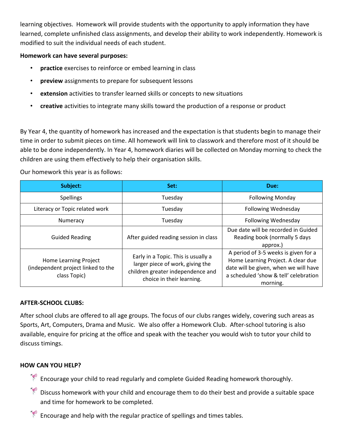learning objectives. Homework will provide students with the opportunity to apply information they have learned, complete unfinished class assignments, and develop their ability to work independently. Homework is modified to suit the individual needs of each student.

#### **Homework can have several purposes:**

- **practice** exercises to reinforce or embed learning in class
- **preview** assignments to prepare for subsequent lessons
- **extension** activities to transfer learned skills or concepts to new situations
- **creative** activities to integrate many skills toward the production of a response or product

By Year 4, the quantity of homework has increased and the expectation is that students begin to manage their time in order to submit pieces on time. All homework will link to classwork and therefore most of it should be able to be done independently. In Year 4, homework diaries will be collected on Monday morning to check the children are using them effectively to help their organisation skills.

Our homework this year is as follows:

| Subject:                                                                    | Set:                                                                                                                                      | Due:                                                                                                                                                                     |  |
|-----------------------------------------------------------------------------|-------------------------------------------------------------------------------------------------------------------------------------------|--------------------------------------------------------------------------------------------------------------------------------------------------------------------------|--|
| <b>Spellings</b>                                                            | Tuesday                                                                                                                                   | <b>Following Monday</b>                                                                                                                                                  |  |
| Literacy or Topic related work                                              | Tuesday                                                                                                                                   | <b>Following Wednesday</b>                                                                                                                                               |  |
| Numeracy                                                                    | Tuesday                                                                                                                                   | <b>Following Wednesday</b>                                                                                                                                               |  |
| <b>Guided Reading</b>                                                       | After guided reading session in class                                                                                                     | Due date will be recorded in Guided<br>Reading book (normally 5 days<br>approx.)                                                                                         |  |
| Home Learning Project<br>(independent project linked to the<br>class Topic) | Early in a Topic. This is usually a<br>larger piece of work, giving the<br>children greater independence and<br>choice in their learning. | A period of 3-5 weeks is given for a<br>Home Learning Project. A clear due<br>date will be given, when we will have<br>a scheduled 'show & tell' celebration<br>morning. |  |

#### **AFTER-SCHOOL CLUBS:**

After school clubs are offered to all age groups. The focus of our clubs ranges widely, covering such areas as Sports, Art, Computers, Drama and Music. We also offer a Homework Club. After-school tutoring is also available, enquire for pricing at the office and speak with the teacher you would wish to tutor your child to discuss timings.

#### **HOW CAN YOU HELP?**

- Encourage your child to read regularly and complete Guided Reading homework thoroughly.
- Discuss homework with your child and encourage them to do their best and provide a suitable space and time for homework to be completed.